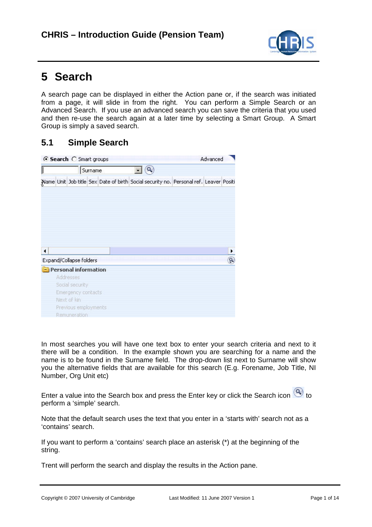

# **5 Search**

A search page can be displayed in either the Action pane or, if the search was initiated from a page, it will slide in from the right. You can perform a Simple Search or an Advanced Search. If you use an advanced search you can save the criteria that you used and then re-use the search again at a later time by selecting a Smart Group. A Smart Group is simply a saved search.

### **5.1 Simple Search**

| ⊙ Search C Smart groups |                      |         |  |  |  |  |  |                                                                                       | Advanced |   |
|-------------------------|----------------------|---------|--|--|--|--|--|---------------------------------------------------------------------------------------|----------|---|
|                         |                      | Surname |  |  |  |  |  |                                                                                       |          |   |
|                         |                      |         |  |  |  |  |  | Name Unit Job title Sex Date of birth Social security no. Personal ref. Leaver Positi |          |   |
|                         |                      |         |  |  |  |  |  |                                                                                       |          |   |
|                         |                      |         |  |  |  |  |  |                                                                                       |          |   |
|                         |                      |         |  |  |  |  |  |                                                                                       |          |   |
|                         |                      |         |  |  |  |  |  |                                                                                       |          |   |
|                         |                      |         |  |  |  |  |  |                                                                                       |          |   |
| Expand/Collapse folders |                      |         |  |  |  |  |  |                                                                                       |          | ٩ |
| Personal information    |                      |         |  |  |  |  |  |                                                                                       |          |   |
|                         | Addresses            |         |  |  |  |  |  |                                                                                       |          |   |
|                         | Social security      |         |  |  |  |  |  |                                                                                       |          |   |
|                         | Emergency contacts   |         |  |  |  |  |  |                                                                                       |          |   |
|                         | Next of kin          |         |  |  |  |  |  |                                                                                       |          |   |
|                         | Previous employments |         |  |  |  |  |  |                                                                                       |          |   |
|                         | Remuneration         |         |  |  |  |  |  |                                                                                       |          |   |

In most searches you will have one text box to enter your search criteria and next to it there will be a condition. In the example shown you are searching for a name and the name is to be found in the Surname field. The drop-down list next to Surname will show you the alternative fields that are available for this search (E.g. Forename, Job Title, NI Number, Org Unit etc)

Enter a value into the Search box and press the Enter key or click the Search icon  $\bigotimes$  to perform a 'simple' search.

Note that the default search uses the text that you enter in a 'starts with' search not as a 'contains' search.

If you want to perform a 'contains' search place an asterisk (\*) at the beginning of the string.

Trent will perform the search and display the results in the Action pane.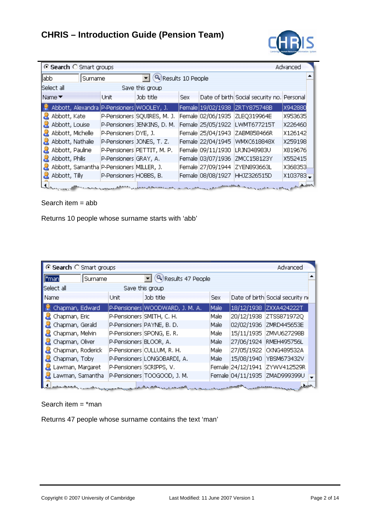

|      |                  | ⊙ Search ○ Smart groups |                                               |                                                                                                                |            |                                   | Advanced    |  |
|------|------------------|-------------------------|-----------------------------------------------|----------------------------------------------------------------------------------------------------------------|------------|-----------------------------------|-------------|--|
| labb |                  | Surname                 |                                               | $\blacktriangleright$ (Q) Results 10 People                                                                    |            |                                   |             |  |
|      | Select all       |                         |                                               | Save this group                                                                                                |            |                                   |             |  |
|      | Name ▼           |                         | <b>Unit</b>                                   | Job title                                                                                                      | <b>Sex</b> | Date of birth Social security no. | Personal    |  |
|      |                  |                         | Abbott, Alexandra   P-Pensioners   WOOLEY, J. |                                                                                                                |            | Female 19/02/1938 2RTY875748B     | X942880     |  |
|      | Abbott, Kate     |                         |                                               | P-Pensioners SQUIRES, M. J.                                                                                    |            | Female 02/06/1935  ZLEQ319964E    | X953635     |  |
|      | Abbott, Louise   |                         |                                               | P-Pensioners JENKINS, D. M.                                                                                    |            | Female 25/05/1922 LWMT677215T     | X226460     |  |
|      | Abbott, Michelle |                         | P-Pensioners DYE, J.                          |                                                                                                                |            | Female 25/04/1943 ZABM858466R     | X126142     |  |
|      | Abbott, Nathalie |                         |                                               | P-Pensioners JONES, T. Z.                                                                                      |            | Female 22/04/1945 WMXC618848X     | X259198     |  |
|      | Abbott, Pauline  |                         |                                               | P-Pensioners PETTIT, M. P.                                                                                     |            | Female 09/11/1930   LRJN348983U   | X819676     |  |
|      | Abbott, Philis   |                         | P-Pensioners GRAY, A.                         |                                                                                                                |            | Female 03/07/1936 ZMCC158123Y     | X552415     |  |
|      |                  |                         | Abbott, Samantha P-Pensioners MILLER, J.      |                                                                                                                |            | Female 27/09/1944 ZYEN893663L     | X368353     |  |
|      | Abbott, Tilly    |                         | P-Pensioners HOBBS, B.                        |                                                                                                                |            | Female 08/08/1927 HHJZ326515D     | $X103783 -$ |  |
|      |                  |                         |                                               | handle and some specific the control of the second control of the control of the control of the control of the |            |                                   | بمعلماته    |  |

Search item = abb

Returns 10 people whose surname starts with 'abb'

| G Search C Smart groups |         |                           |                                    |            | Advanced                         |  |
|-------------------------|---------|---------------------------|------------------------------------|------------|----------------------------------|--|
| $\parallel^*$ man       | Surname |                           | ( <sup>Q</sup> ) Results 47 People |            |                                  |  |
| Select all              |         |                           | Save this group                    |            |                                  |  |
| Name                    |         | Unit                      | Job title                          | <b>Sex</b> | Date of birth Social security no |  |
| Chapman, Edward         |         |                           | P-Pensioners WOODWARD, J. M. A.    | Male:      | 18/12/1938 ZXXA424222T           |  |
| Chapman, Eric           |         | P-Pensioners SMITH, C. H. |                                    | Male       | 20/12/1938 ZTSS871972Q           |  |
| Chapman, Gerald         |         |                           | P-Pensioners PAYNE, B.D.           | Male       | 02/02/1936 ZMRD445653E           |  |
| Chapman, Melvin         |         |                           | P-Pensioners SPONG, E.R.           | Male       | 15/11/1935 ZMVU627298B           |  |
| Chapman, Oliver         |         | P-Pensioners BLOOR, A.    |                                    | Male       | 27/06/1924 RMEH495756L           |  |
| Chapman, Roderick       |         |                           | P-Pensioners CULLUM, R. H.         | Male .     | 27/05/1922 CKNG489532A           |  |
| Chapman, Toby           |         |                           | P-Pensioners LONGOBARDI, A.        | Male:      | 15/08/1940 YBSM673432V           |  |
| Lawman, Margaret        |         | P-Pensioners SCRIPPS, V.  |                                    |            | Female 24/12/1941 ZYWV412529R    |  |
| Lawman, Samantha        |         |                           | P-Pensioners TOOGOOD, J. M.        |            | Female 04/11/1935 ZMAD999399U    |  |
|                         |         |                           |                                    |            |                                  |  |

Search item  $=$  \*man

Returns 47 people whose surname contains the text 'man'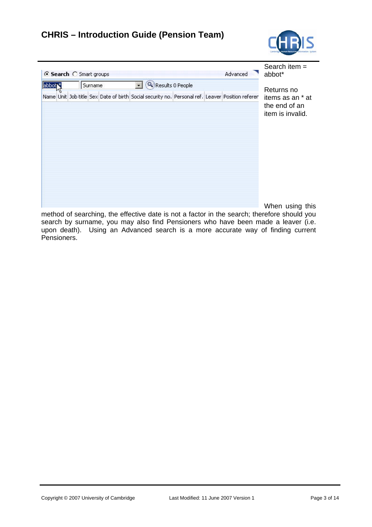

| ← Search  C Smart groups |    |  |         | Search item $=$<br>abbot* |                      |  |                                                                                                 |                                                       |
|--------------------------|----|--|---------|---------------------------|----------------------|--|-------------------------------------------------------------------------------------------------|-------------------------------------------------------|
| abbot <sup>*</sup>       | Иζ |  | Surname |                           | - Q Results 0 People |  |                                                                                                 | Returns no                                            |
|                          |    |  |         |                           |                      |  | Name Unit Job title Sex Date of birth Social security no. Personal ref. Leaver Position referer | items as an * at<br>the end of an<br>item is invalid. |
|                          |    |  |         |                           |                      |  |                                                                                                 | When using this                                       |

When using this

method of searching, the effective date is not a factor in the search; therefore should you search by surname, you may also find Pensioners who have been made a leaver (i.e. upon death). Using an Advanced search is a more accurate way of finding current Pensioners.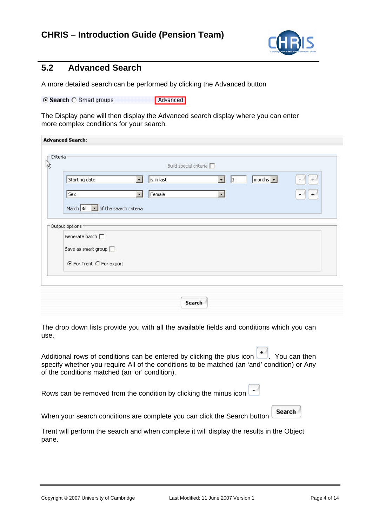

#### **5.2 Advanced Search**

A more detailed search can be performed by clicking the Advanced button

⊙ Search ○ Smart groups Advanced

The Display pane will then display the Advanced search display where you can enter more complex conditions for your search.

|                                                |                              | Build special criteria                      |     |
|------------------------------------------------|------------------------------|---------------------------------------------|-----|
| Starting date                                  | is in last<br>$\blacksquare$ | months $\vert \cdot \vert$<br>$\cdot$<br> 3 | $+$ |
| Sex                                            | Female<br>$\bullet$          | $\star$                                     | $+$ |
| Match $all \rightarrow$ of the search criteria |                              |                                             |     |
| Output options:                                |                              |                                             |     |
| Generate batch                                 |                              |                                             |     |
| Save as smart group $\Box$                     |                              |                                             |     |
| ⊙ For Trent C For export                       |                              |                                             |     |
|                                                |                              |                                             |     |
|                                                |                              |                                             |     |

The drop down lists provide you with all the available fields and conditions which you can use.

| Additional rows of conditions can be entered by clicking the plus icon $\left\lfloor \frac{+}{2} \right\rfloor$ . You can then |
|--------------------------------------------------------------------------------------------------------------------------------|
| specify whether you require All of the conditions to be matched (an 'and' condition) or Any                                    |
| of the conditions matched (an 'or' condition).                                                                                 |

Rows can be removed from the condition by clicking the minus icon

**Search** 

 $\overline{\phantom{a}}$ 

-4

When your search conditions are complete you can click the Search button

Trent will perform the search and when complete it will display the results in the Object pane.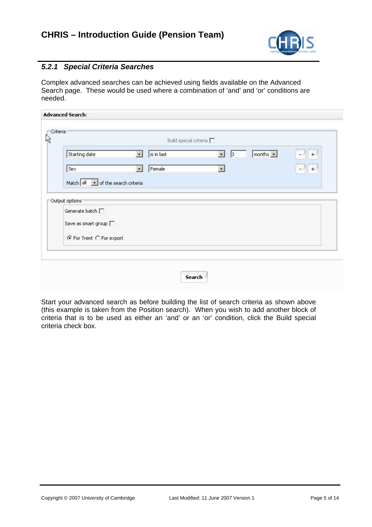

#### *5.2.1 Special Criteria Searches*

Complex advanced searches can be achieved using fields available on the Advanced Search page. These would be used where a combination of 'and' and 'or' conditions are needed.

| Starting date                                                     | $\vert$ | Build special criteria<br>is in last | $\bullet$<br>$\vert$ 3 | $months -$ | $+$ |
|-------------------------------------------------------------------|---------|--------------------------------------|------------------------|------------|-----|
| Sex                                                               | $\vert$ |                                      | $\blacksquare$         |            |     |
|                                                                   |         | Female                               |                        |            | $+$ |
| Match $\boxed{\text{all} \boxed{\text{I}}$ of the search criteria |         |                                      |                        |            |     |
| Output options                                                    |         |                                      |                        |            |     |
| Generate batch                                                    |         |                                      |                        |            |     |
| Save as smart group $\Box$                                        |         |                                      |                        |            |     |
|                                                                   |         |                                      |                        |            |     |
| ⊙ For Trent ○ For export                                          |         |                                      |                        |            |     |
|                                                                   |         |                                      |                        |            |     |

Start your advanced search as before building the list of search criteria as shown above (this example is taken from the Position search). When you wish to add another block of criteria that is to be used as either an 'and' or an 'or' condition, click the Build special criteria check box.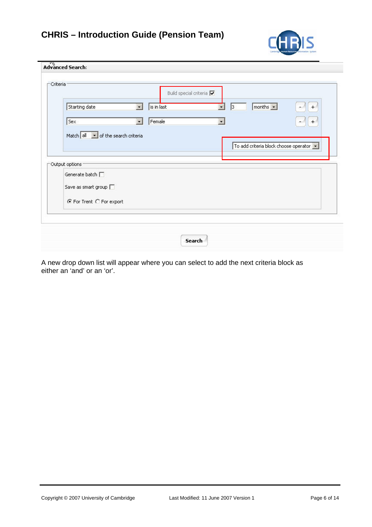

|                                                                  | Build special criteria √ |                                                 |                                         |
|------------------------------------------------------------------|--------------------------|-------------------------------------------------|-----------------------------------------|
| Starting date                                                    | is in last<br>G.         | $months -$<br>$\vert$ <sub>3</sub><br>$\bullet$ | $+$                                     |
| Sex                                                              | Female                   | ×.                                              | $+$                                     |
| Match $all \rightarrow$ of the search criteria<br>Output options |                          |                                                 | To add criteria block choose operator v |
| Generate batch [<br>Save as smart group $\square$                |                          |                                                 |                                         |
| ⊙ For Trent C For export                                         |                          |                                                 |                                         |

A new drop down list will appear where you can select to add the next criteria block as either an 'and' or an 'or'.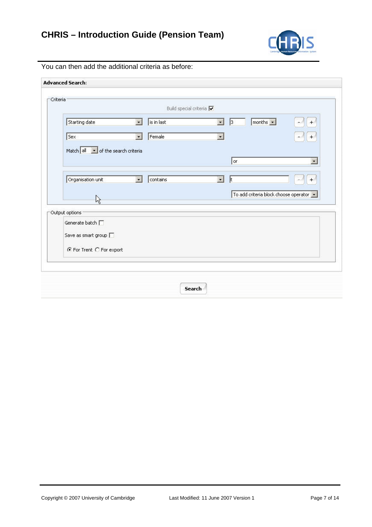

| <b>Advanced Search:</b>            |                                 |                                |                                         |
|------------------------------------|---------------------------------|--------------------------------|-----------------------------------------|
|                                    |                                 |                                |                                         |
| Criteria                           |                                 |                                |                                         |
|                                    | Build special criteria $\nabla$ |                                |                                         |
| Starting date                      | is in last<br>闛                 | 3 <br>$\cdot$                  | months $\vert \cdot \vert$<br>$+$<br>e. |
|                                    |                                 |                                |                                         |
| Sex                                | Female<br>$\bullet$             | $\bullet$                      | $+$                                     |
| Match all v of the search criteria |                                 |                                |                                         |
|                                    |                                 | l or                           | $\bullet$                               |
|                                    |                                 |                                |                                         |
| Organisation unit                  | $\blacksquare$<br>contains      | $\blacksquare$<br>$\mathbf{t}$ | $^{+}$                                  |
|                                    |                                 |                                |                                         |
| R                                  |                                 |                                | To add criteria block choose operator v |
|                                    |                                 |                                |                                         |
| Output options                     |                                 |                                |                                         |
| Generate batch $\Box$              |                                 |                                |                                         |
| Save as smart group $\Box$         |                                 |                                |                                         |
|                                    |                                 |                                |                                         |
| ⊙ For Trent C For export           |                                 |                                |                                         |
|                                    |                                 |                                |                                         |
|                                    |                                 |                                |                                         |
|                                    |                                 |                                |                                         |
|                                    |                                 | Search                         |                                         |

You can then add the additional criteria as before: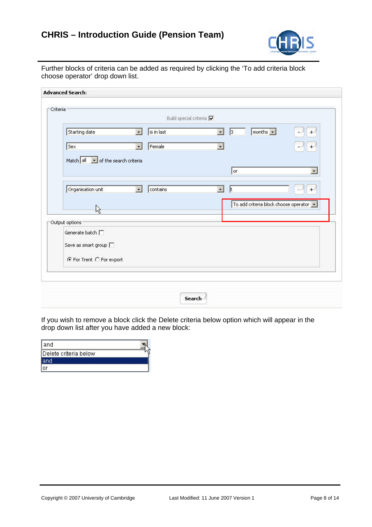

Further blocks of criteria can be added as required by clicking the 'To add criteria block choose operator' drop down list.

|                                    | Build special criteria $\nabla$ |                                                           |                                       |
|------------------------------------|---------------------------------|-----------------------------------------------------------|---------------------------------------|
| Starting date                      | $\blacksquare$<br>is in last    | $\sqrt{\frac{1}{2}}$<br>$\vert$ <sub>3</sub><br>$\bullet$ | $^{+}$                                |
| Sex                                | Female<br>$\bullet$             | $\cdot$                                                   | $+$                                   |
| Match all v of the search criteria |                                 |                                                           |                                       |
|                                    |                                 | or.                                                       | $\bullet$                             |
|                                    |                                 |                                                           |                                       |
| Organisation unit                  | $\blacksquare$<br>contains      | $\blacksquare$<br>1t                                      | +                                     |
|                                    |                                 |                                                           | To add criteria block choose operator |
| R                                  |                                 |                                                           |                                       |
| Output options                     |                                 |                                                           |                                       |
| Generate batch $\Box$              |                                 |                                                           |                                       |
| Save as smart group $\Box$         |                                 |                                                           |                                       |
| ⊙ For Trent C For export           |                                 |                                                           |                                       |
|                                    |                                 |                                                           |                                       |

If you wish to remove a block click the Delete criteria below option which will appear in the drop down list after you have added a new block:

| land                  |  |
|-----------------------|--|
| Delete criteria below |  |
|                       |  |
|                       |  |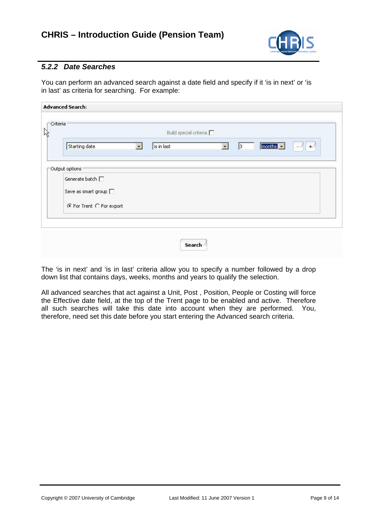

#### *5.2.2 Date Searches*

You can perform an advanced search against a date field and specify if it 'is in next' or 'is in last' as criteria for searching. For example:

| -Criteria:                   | Build special criteria            |                      |                                   |
|------------------------------|-----------------------------------|----------------------|-----------------------------------|
| Starting date                | is in last<br>$\vert \cdot \vert$ | $\blacksquare$<br> 3 | $ $ months $ $ $\sim$ $ $<br>$^+$ |
| Output options               |                                   |                      |                                   |
| Generate batch               |                                   |                      |                                   |
| Save as smart group $\Box$   |                                   |                      |                                   |
| $C$ For Trent $C$ For export |                                   |                      |                                   |
|                              |                                   |                      |                                   |
|                              |                                   |                      |                                   |

The 'is in next' and 'is in last' criteria allow you to specify a number followed by a drop down list that contains days, weeks, months and years to qualify the selection.

All advanced searches that act against a Unit, Post , Position, People or Costing will force the Effective date field, at the top of the Trent page to be enabled and active. Therefore all such searches will take this date into account when they are performed. You, therefore, need set this date before you start entering the Advanced search criteria.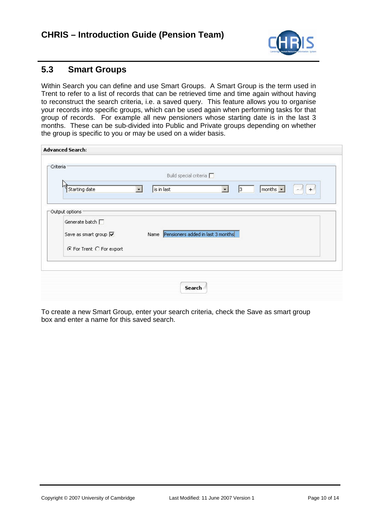

#### **5.3 Smart Groups**

Within Search you can define and use Smart Groups. A Smart Group is the term used in Trent to refer to a list of records that can be retrieved time and time again without having to reconstruct the search criteria, i.e. a saved query. This feature allows you to organise your records into specific groups, which can be used again when performing tasks for that group of records. For example all new pensioners whose starting date is in the last 3 months. These can be sub-divided into Public and Private groups depending on whether the group is specific to you or may be used on a wider basis.

| Criteria                                            |           | Build special criteria                 |           |                      |                                          |     |
|-----------------------------------------------------|-----------|----------------------------------------|-----------|----------------------|------------------------------------------|-----|
| Starting date                                       | $\bullet$ | is in last                             | $\bullet$ | $\vert$ <sub>3</sub> | $\boxed{\text{months} \cdot \cdot \ \ }$ | $+$ |
|                                                     |           |                                        |           |                      |                                          |     |
| Output options                                      |           |                                        |           |                      |                                          |     |
| Generate batch                                      |           |                                        |           |                      |                                          |     |
| Save as smart group $\overline{\blacktriangledown}$ |           | Name Pensioners added in last 3 months |           |                      |                                          |     |
| ⊙ For Trent C For export                            |           |                                        |           |                      |                                          |     |
|                                                     |           |                                        |           |                      |                                          |     |
|                                                     |           |                                        |           |                      |                                          |     |

To create a new Smart Group, enter your search criteria, check the Save as smart group box and enter a name for this saved search.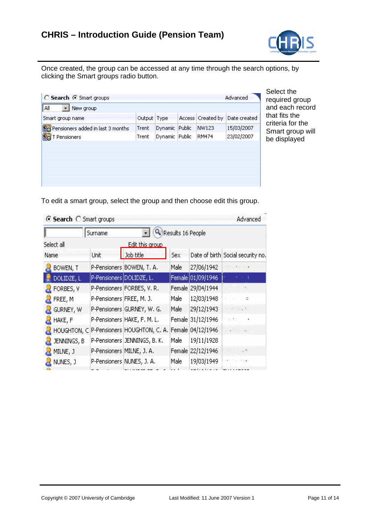

Once created, the group can be accessed at any time through the search options, by clicking the Smart groups radio button.

| Smart group name                  |       |                      | Output Type Access Created by | Date created |
|-----------------------------------|-------|----------------------|-------------------------------|--------------|
| Pensioners added in last 3 months | Trent | Dynamic Public       | NW123                         | 15/03/2007   |
| <b>D</b> T Pensioners             | Trent | Dynamic Public RM474 |                               | 23/02/2007   |

and each record be displayed Select the required group hat fits the criteria for the Smart group will

To edit a smart group, select the group and then choose edit this group.

| ⊙ Search ○ Smart groups | Advanced                  |                              |                   |                   |                                                               |
|-------------------------|---------------------------|------------------------------|-------------------|-------------------|---------------------------------------------------------------|
|                         | Surname                   |                              | Results 16 People |                   |                                                               |
| Select all              |                           | Edit this group              |                   |                   |                                                               |
| Name                    | Unit                      | Job title                    | Sex               |                   | Date of birth Social security no.                             |
| BOWEN, T                |                           | P-Pensioners BOWEN, T. A.    | Male              | 27/06/1942        |                                                               |
| DOLIDZE, L.             | P-Pensioners DOLIDZE, L.  |                              |                   | Female 01/09/1946 | 相当 1                                                          |
| FORBES, V               |                           | P-Pensioners FORBES, V.R.    |                   | Female 29/04/1944 |                                                               |
| FREE, M                 | P-Pensioners FREE, M. J.  |                              | Male              | 12/03/1948        | イアローン丼                                                        |
| GURNEY, W               |                           | P-Pensioners GURNEY, W. G.   | Male              | 29/12/1943        | to limitate an                                                |
| HAKE, F                 |                           | P-Pensioners HAKE, F. M. L.  |                   | Female 31/12/1946 | 明海<br>- 2                                                     |
| HOUGHTON, C             |                           | P-Pensioners HOUGHTON, C. A. |                   | Female 04/12/1946 | $\lfloor \frac{1}{2} \rfloor$ , $\lfloor \frac{1}{2} \rfloor$ |
| JENNINGS, B.            |                           | P-Pensioners JENNINGS, B. K. | Male              | 19/11/1928        |                                                               |
| MILNE, J                | P-Pensioners MILNE, J. A. |                              |                   | Female 22/12/1946 | . $\blacksquare$                                              |
| NUNES, J                |                           | P-Pensioners NUNES, J. A.    | Male              | 19/03/1949        |                                                               |
|                         |                           |                              |                   |                   |                                                               |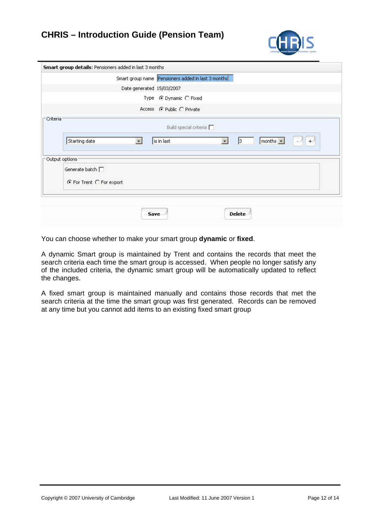

|          | Smart group details: Pensioners added in last 3 months                                         |
|----------|------------------------------------------------------------------------------------------------|
|          | Smart group name Pensioners added in last 3 months                                             |
|          | Date generated 15/03/2007                                                                      |
|          | Type C Dynamic C Fixed                                                                         |
|          | Access ( Public C Private                                                                      |
| Criteria | Build special criteria                                                                         |
|          | $+$<br>months $\vert \cdot \vert$<br>Starting date<br>is in last<br>$\vert$<br>$\bullet$<br> 3 |
|          | Output options                                                                                 |
|          | Generate batch [<br>⊙ For Trent ○ For export                                                   |
|          |                                                                                                |
|          |                                                                                                |

You can choose whether to make your smart group **dynamic** or **fixed**.

A dynamic Smart group is maintained by Trent and contains the records that meet the search criteria each time the smart group is accessed. When people no longer satisfy any of the included criteria, the dynamic smart group will be automatically updated to reflect the changes.

A fixed smart group is maintained manually and contains those records that met the search criteria at the time the smart group was first generated. Records can be removed at any time but you cannot add items to an existing fixed smart group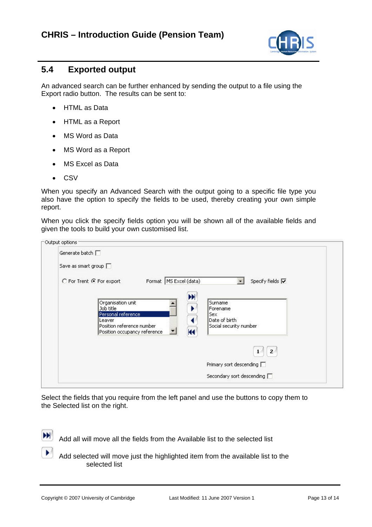

#### **5.4 Exported output**

An advanced search can be further enhanced by sending the output to a file using the Export radio button. The results can be sent to:

- HTML as Data
- HTML as a Report
- MS Word as Data
- MS Word as a Report
- MS Excel as Data
- CSV

When you specify an Advanced Search with the output going to a specific file type you also have the option to specify the fields to be used, thereby creating your own simple report.

When you click the specify fields option you will be shown all of the available fields and given the tools to build your own customised list.

| Generate batch                                                                              |                                                            |                                                                              |  |
|---------------------------------------------------------------------------------------------|------------------------------------------------------------|------------------------------------------------------------------------------|--|
| Save as smart group                                                                         |                                                            |                                                                              |  |
| C For Trent C For export                                                                    | Format   MS Excel (data)                                   | Specify fields V                                                             |  |
| Organisation unit<br>Job title<br>Personal reference<br>Leaver<br>Position reference number | $\blacktriangleright$<br>К<br>Position occupancy reference | Surname<br>Forename<br><b>Sex</b><br>Date of birth<br>Social security number |  |
|                                                                                             |                                                            | $\overline{2}$<br>Primary sort descending                                    |  |
|                                                                                             |                                                            | Secondary sort descending                                                    |  |

Select the fields that you require from the left panel and use the buttons to copy them to the Selected list on the right.

Add all will move all the fields from the Available list to the selected list

 Add selected will move just the highlighted item from the available list to the selected list

 $\blacktriangleright$ 

×